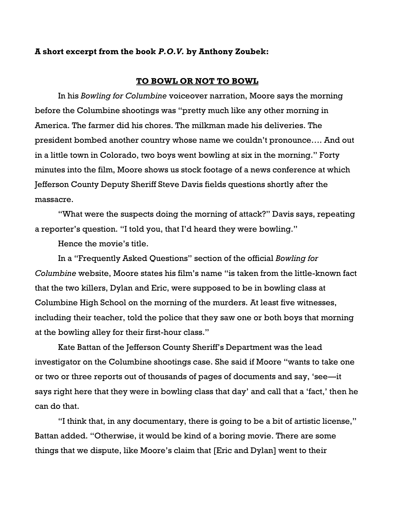## **A short excerpt from the book** *P.O.V.* **by Anthony Zoubek:**

## **TO BOWL OR NOT TO BOWL**

In his *Bowling for Columbine* voiceover narration, Moore says the morning before the Columbine shootings was "pretty much like any other morning in America. The farmer did his chores. The milkman made his deliveries. The president bombed another country whose name we couldn't pronounce…. And out in a little town in Colorado, two boys went bowling at six in the morning." Forty minutes into the film, Moore shows us stock footage of a news conference at which Jefferson County Deputy Sheriff Steve Davis fields questions shortly after the massacre.

"What were the suspects doing the morning of attack?" Davis says, repeating a reporter's question. "I told you, that I'd heard they were bowling."

Hence the movie's title.

In a "Frequently Asked Questions" section of the official *Bowling for Columbine* website, Moore states his film's name "is taken from the little-known fact that the two killers, Dylan and Eric, were supposed to be in bowling class at Columbine High School on the morning of the murders. At least five witnesses, including their teacher, told the police that they saw one or both boys that morning at the bowling alley for their first-hour class."

Kate Battan of the Jefferson County Sheriff's Department was the lead investigator on the Columbine shootings case. She said if Moore "wants to take one or two or three reports out of thousands of pages of documents and say, 'see—it says right here that they were in bowling class that day' and call that a 'fact,' then he can do that.

"I think that, in any documentary, there is going to be a bit of artistic license," Battan added. "Otherwise, it would be kind of a boring movie. There are some things that we dispute, like Moore's claim that [Eric and Dylan] went to their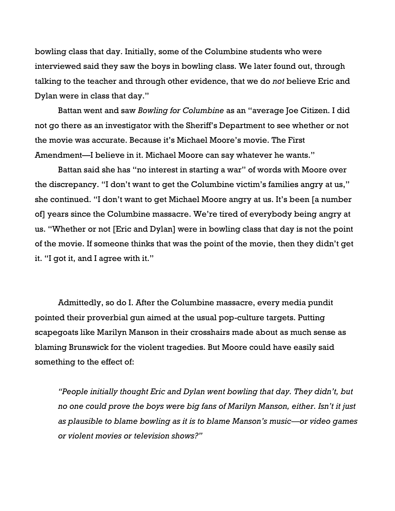bowling class that day. Initially, some of the Columbine students who were interviewed said they saw the boys in bowling class. We later found out, through talking to the teacher and through other evidence, that we do *not* believe Eric and Dylan were in class that day."

Battan went and saw *Bowling for Columbine* as an "average Joe Citizen. I did not go there as an investigator with the Sheriff's Department to see whether or not the movie was accurate. Because it's Michael Moore's movie. The First Amendment—I believe in it. Michael Moore can say whatever he wants."

Battan said she has "no interest in starting a war" of words with Moore over the discrepancy. "I don't want to get the Columbine victim's families angry at us," she continued. "I don't want to get Michael Moore angry at us. It's been [a number of] years since the Columbine massacre. We're tired of everybody being angry at us. "Whether or not [Eric and Dylan] were in bowling class that day is not the point of the movie. If someone thinks that was the point of the movie, then they didn't get it. "I got it, and I agree with it."

Admittedly, so do I. After the Columbine massacre, every media pundit pointed their proverbial gun aimed at the usual pop-culture targets. Putting scapegoats like Marilyn Manson in their crosshairs made about as much sense as blaming Brunswick for the violent tragedies. But Moore could have easily said something to the effect of:

*"People initially thought Eric and Dylan went bowling that day. They didn't, but no one could prove the boys were big fans of Marilyn Manson, either. Isn't it just as plausible to blame bowling as it is to blame Manson's music—or video games or violent movies or television shows?"*